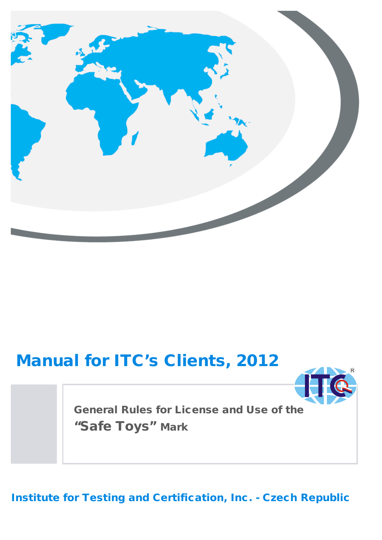

# Manual for ITC's Clients, 2012



General Rules for License and Use of the "Safe Toys" Mark

Institute for Testing and Certification, Inc. - Czech Republic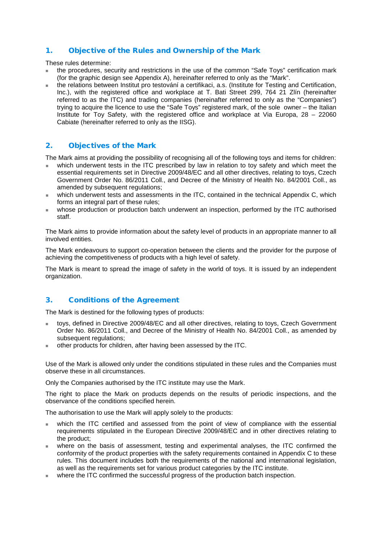## 1. Objective of the Rules and Ownership of the Mark

These rules determine:

- the procedures, security and restrictions in the use of the common "Safe Toys" certification mark (for the graphic design see Appendix A), hereinafter referred to only as the "Mark".
- the relations between Institut pro testování a certifikaci, a.s. (Institute for Testing and Certification, Inc.), with the registered office and workplace at T. Bati Street 299, 764 21 Zlín (hereinafter referred to as the ITC) and trading companies (hereinafter referred to only as the "Companies") trying to acquire the licence to use the "Safe Toys" registered mark, of the sole owner – the Italian Institute for Toy Safety, with the registered office and workplace at Via Europa, 28 – 22060 Cabiate (hereinafter referred to only as the IISG).

## 2. Objectives of the Mark

The Mark aims at providing the possibility of recognising all of the following toys and items for children:

- which underwent tests in the ITC prescribed by law in relation to toy safety and which meet the essential requirements set in Directive 2009/48/EC and all other directives, relating to toys, Czech Government Order No. 86/2011 Coll., and Decree of the Ministry of Health No. 84/2001 Coll., as amended by subsequent regulations:
- which underwent tests and assessments in the ITC, contained in the technical Appendix C, which forms an integral part of these rules:
- whose production or production batch underwent an inspection, performed by the ITC authorised staff.

The Mark aims to provide information about the safety level of products in an appropriate manner to all involved entities.

The Mark endeavours to support co-operation between the clients and the provider for the purpose of achieving the competitiveness of products with a high level of safety.

The Mark is meant to spread the image of safety in the world of toys. It is issued by an independent organization.

## 3. Conditions of the Agreement

The Mark is destined for the following types of products:

- toys, defined in Directive 2009/48/EC and all other directives, relating to toys, Czech Government Order No. 86/2011 Coll., and Decree of the Ministry of Health No. 84/2001 Coll., as amended by subsequent regulations;
- other products for children, after having been assessed by the ITC.

Use of the Mark is allowed only under the conditions stipulated in these rules and the Companies must observe these in all circumstances.

Only the Companies authorised by the ITC institute may use the Mark.

The right to place the Mark on products depends on the results of periodic inspections, and the observance of the conditions specified herein.

The authorisation to use the Mark will apply solely to the products:

- which the ITC certified and assessed from the point of view of compliance with the essential requirements stipulated in the European Directive 2009/48/EC and in other directives relating to the product;
- where on the basis of assessment, testing and experimental analyses, the ITC confirmed the conformity of the product properties with the safety requirements contained in Appendix C to these rules. This document includes both the requirements of the national and international legislation, as well as the requirements set for various product categories by the ITC institute.
- where the ITC confirmed the successful progress of the production batch inspection.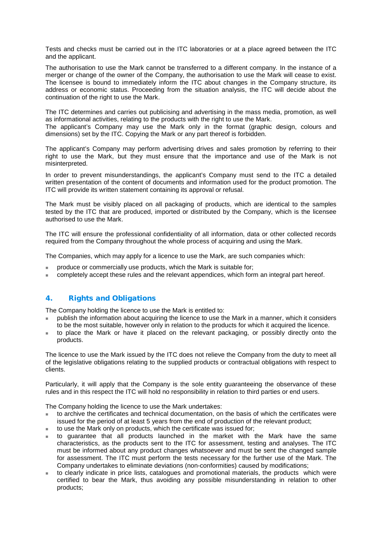Tests and checks must be carried out in the ITC laboratories or at a place agreed between the ITC and the applicant.

The authorisation to use the Mark cannot be transferred to a different company. In the instance of a merger or change of the owner of the Company, the authorisation to use the Mark will cease to exist. The licensee is bound to immediately inform the ITC about changes in the Company structure, its address or economic status. Proceeding from the situation analysis, the ITC will decide about the continuation of the right to use the Mark.

The ITC determines and carries out publicising and advertising in the mass media, promotion, as well as informational activities, relating to the products with the right to use the Mark.

The applicant's Company may use the Mark only in the format (graphic design, colours and dimensions) set by the ITC. Copying the Mark or any part thereof is forbidden.

The applicant's Company may perform advertising drives and sales promotion by referring to their right to use the Mark, but they must ensure that the importance and use of the Mark is not misinterpreted.

In order to prevent misunderstandings, the applicant's Company must send to the ITC a detailed written presentation of the content of documents and information used for the product promotion. The ITC will provide its written statement containing its approval or refusal.

The Mark must be visibly placed on all packaging of products, which are identical to the samples tested by the ITC that are produced, imported or distributed by the Company, which is the licensee authorised to use the Mark.

The ITC will ensure the professional confidentiality of all information, data or other collected records required from the Company throughout the whole process of acquiring and using the Mark.

The Companies, which may apply for a licence to use the Mark, are such companies which:

- produce or commercially use products, which the Mark is suitable for;
- completely accept these rules and the relevant appendices, which form an integral part hereof.

## 4. Rights and Obligations

The Company holding the licence to use the Mark is entitled to:

- publish the information about acquiring the licence to use the Mark in a manner, which it considers to be the most suitable, however only in relation to the products for which it acquired the licence.
- to place the Mark or have it placed on the relevant packaging, or possibly directly onto the products.

The licence to use the Mark issued by the ITC does not relieve the Company from the duty to meet all of the legislative obligations relating to the supplied products or contractual obligations with respect to clients.

Particularly, it will apply that the Company is the sole entity guaranteeing the observance of these rules and in this respect the ITC will hold no responsibility in relation to third parties or end users.

The Company holding the licence to use the Mark undertakes:

- to archive the certificates and technical documentation, on the basis of which the certificates were issued for the period of at least 5 years from the end of production of the relevant product;
- to use the Mark only on products, which the certificate was issued for;
- to guarantee that all products launched in the market with the Mark have the same characteristics, as the products sent to the ITC for assessment, testing and analyses. The ITC must be informed about any product changes whatsoever and must be sent the changed sample for assessment. The ITC must perform the tests necessary for the further use of the Mark. The Company undertakes to eliminate deviations (non-conformities) caused by modifications;
- to clearly indicate in price lists, catalogues and promotional materials, the products which were certified to bear the Mark, thus avoiding any possible misunderstanding in relation to other products;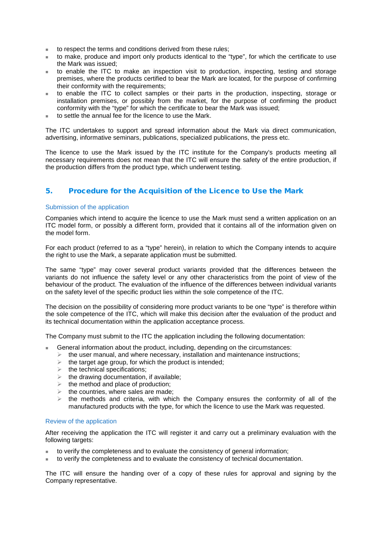- to respect the terms and conditions derived from these rules;
- to make, produce and import only products identical to the "type", for which the certificate to use the Mark was issued;
- to enable the ITC to make an inspection visit to production, inspecting, testing and storage premises, where the products certified to bear the Mark are located, for the purpose of confirming their conformity with the requirements;
- to enable the ITC to collect samples or their parts in the production, inspecting, storage or installation premises, or possibly from the market, for the purpose of confirming the product conformity with the "type" for which the certificate to bear the Mark was issued;
- to settle the annual fee for the licence to use the Mark.

The ITC undertakes to support and spread information about the Mark via direct communication, advertising, informative seminars, publications, specialized publications, the press etc.

The licence to use the Mark issued by the ITC institute for the Company's products meeting all necessary requirements does not mean that the ITC will ensure the safety of the entire production, if the production differs from the product type, which underwent testing.

## 5. Procedure for the Acquisition of the Licence to Use the Mark

#### Submission of the application

Companies which intend to acquire the licence to use the Mark must send a written application on an ITC model form, or possibly a different form, provided that it contains all of the information given on the model form.

For each product (referred to as a "type" herein), in relation to which the Company intends to acquire the right to use the Mark, a separate application must be submitted.

The same "type" may cover several product variants provided that the differences between the variants do not influence the safety level or any other characteristics from the point of view of the behaviour of the product. The evaluation of the influence of the differences between individual variants on the safety level of the specific product lies within the sole competence of the ITC.

The decision on the possibility of considering more product variants to be one "type" is therefore within the sole competence of the ITC, which will make this decision after the evaluation of the product and its technical documentation within the application acceptance process.

The Company must submit to the ITC the application including the following documentation:

- General information about the product, including, depending on the circumstances:
	- $\triangleright$  the user manual, and where necessary, installation and maintenance instructions;
	- $\triangleright$  the target age group, for which the product is intended;
	- $\blacktriangleright$  the technical specifications;
	- $\triangleright$  the drawing documentation, if available;
	- $\triangleright$  the method and place of production:
	- $\triangleright$  the countries, where sales are made;
	- $\triangleright$  the methods and criteria, with which the Company ensures the conformity of all of the manufactured products with the type, for which the licence to use the Mark was requested.

#### Review of the application

After receiving the application the ITC will register it and carry out a preliminary evaluation with the following targets:

- to verify the completeness and to evaluate the consistency of general information;
- to verify the completeness and to evaluate the consistency of technical documentation.

The ITC will ensure the handing over of a copy of these rules for approval and signing by the Company representative.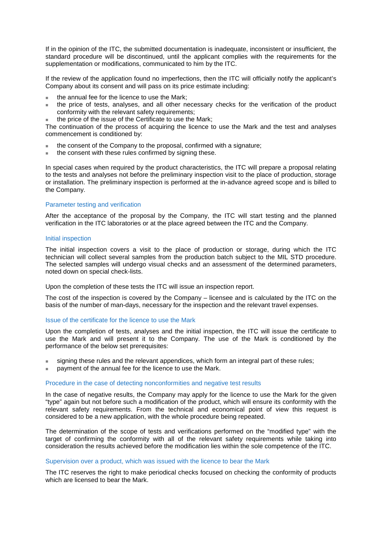If in the opinion of the ITC, the submitted documentation is inadequate, inconsistent or insufficient, the standard procedure will be discontinued, until the applicant complies with the requirements for the supplementation or modifications, communicated to him by the ITC.

If the review of the application found no imperfections, then the ITC will officially notify the applicant's Company about its consent and will pass on its price estimate including:

- the annual fee for the licence to use the Mark;
- the price of tests, analyses, and all other necessary checks for the verification of the product conformity with the relevant safety requirements;
- the price of the issue of the Certificate to use the Mark;

The continuation of the process of acquiring the licence to use the Mark and the test and analyses commencement is conditioned by:

- the consent of the Company to the proposal, confirmed with a signature;
- the consent with these rules confirmed by signing these.

In special cases when required by the product characteristics, the ITC will prepare a proposal relating to the tests and analyses not before the preliminary inspection visit to the place of production, storage or installation. The preliminary inspection is performed at the in-advance agreed scope and is billed to the Company.

#### Parameter testing and verification

After the acceptance of the proposal by the Company, the ITC will start testing and the planned verification in the ITC laboratories or at the place agreed between the ITC and the Company.

#### Initial inspection

The initial inspection covers a visit to the place of production or storage, during which the ITC technician will collect several samples from the production batch subject to the MIL STD procedure. The selected samples will undergo visual checks and an assessment of the determined parameters, noted down on special check-lists.

Upon the completion of these tests the ITC will issue an inspection report.

The cost of the inspection is covered by the Company – licensee and is calculated by the ITC on the basis of the number of man-days, necessary for the inspection and the relevant travel expenses.

#### Issue of the certificate for the licence to use the Mark

Upon the completion of tests, analyses and the initial inspection, the ITC will issue the certificate to use the Mark and will present it to the Company. The use of the Mark is conditioned by the performance of the below set prerequisites:

- signing these rules and the relevant appendices, which form an integral part of these rules;
- payment of the annual fee for the licence to use the Mark.

#### Procedure in the case of detecting nonconformities and negative test results

In the case of negative results, the Company may apply for the licence to use the Mark for the given "type" again but not before such a modification of the product, which will ensure its conformity with the relevant safety requirements. From the technical and economical point of view this request is considered to be a new application, with the whole procedure being repeated.

The determination of the scope of tests and verifications performed on the "modified type" with the target of confirming the conformity with all of the relevant safety requirements while taking into consideration the results achieved before the modification lies within the sole competence of the ITC.

#### Supervision over a product, which was issued with the licence to bear the Mark

The ITC reserves the right to make periodical checks focused on checking the conformity of products which are licensed to bear the Mark.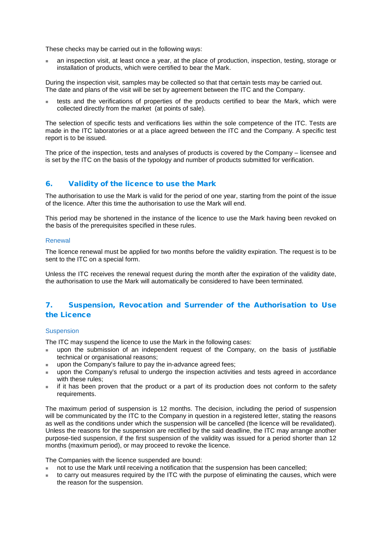These checks may be carried out in the following ways:

 an inspection visit, at least once a year, at the place of production, inspection, testing, storage or installation of products, which were certified to bear the Mark.

During the inspection visit, samples may be collected so that that certain tests may be carried out. The date and plans of the visit will be set by agreement between the ITC and the Company.

 tests and the verifications of properties of the products certified to bear the Mark, which were collected directly from the market (at points of sale).

The selection of specific tests and verifications lies within the sole competence of the ITC. Tests are made in the ITC laboratories or at a place agreed between the ITC and the Company. A specific test report is to be issued.

The price of the inspection, tests and analyses of products is covered by the Company – licensee and is set by the ITC on the basis of the typology and number of products submitted for verification.

## 6. Validity of the licence to use the Mark

The authorisation to use the Mark is valid for the period of one year, starting from the point of the issue of the licence. After this time the authorisation to use the Mark will end.

This period may be shortened in the instance of the licence to use the Mark having been revoked on the basis of the prerequisites specified in these rules.

#### Renewal

The licence renewal must be applied for two months before the validity expiration. The request is to be sent to the ITC on a special form.

Unless the ITC receives the renewal request during the month after the expiration of the validity date, the authorisation to use the Mark will automatically be considered to have been terminated.

## 7. Suspension, Revocation and Surrender of the Authorisation to Use the Licence

#### **Suspension**

The ITC may suspend the licence to use the Mark in the following cases:

- upon the submission of an independent request of the Company, on the basis of justifiable technical or organisational reasons;
- upon the Company's failure to pay the in-advance agreed fees;
- upon the Company's refusal to undergo the inspection activities and tests agreed in accordance with these rules;
- if it has been proven that the product or a part of its production does not conform to the safety requirements.

The maximum period of suspension is 12 months. The decision, including the period of suspension will be communicated by the ITC to the Company in question in a registered letter, stating the reasons as well as the conditions under which the suspension will be cancelled (the licence will be revalidated). Unless the reasons for the suspension are rectified by the said deadline, the ITC may arrange another purpose-tied suspension, if the first suspension of the validity was issued for a period shorter than 12 months (maximum period), or may proceed to revoke the licence.

The Companies with the licence suspended are bound:

- not to use the Mark until receiving a notification that the suspension has been cancelled;
- to carry out measures required by the ITC with the purpose of eliminating the causes, which were the reason for the suspension.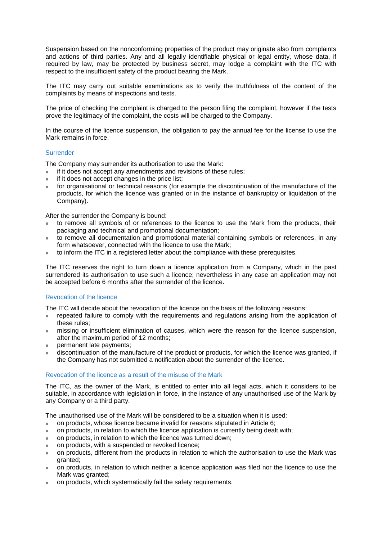Suspension based on the nonconforming properties of the product may originate also from complaints and actions of third parties. Any and all legally identifiable physical or legal entity, whose data, if required by law, may be protected by business secret, may lodge a complaint with the ITC with respect to the insufficient safety of the product bearing the Mark.

The ITC may carry out suitable examinations as to verify the truthfulness of the content of the complaints by means of inspections and tests.

The price of checking the complaint is charged to the person filing the complaint, however if the tests prove the legitimacy of the complaint, the costs will be charged to the Company.

In the course of the licence suspension, the obligation to pay the annual fee for the license to use the Mark remains in force.

#### Surrender

The Company may surrender its authorisation to use the Mark:

- if it does not accept any amendments and revisions of these rules;
- if it does not accept changes in the price list;
- for organisational or technical reasons (for example the discontinuation of the manufacture of the products, for which the licence was granted or in the instance of bankruptcy or liquidation of the Company).

After the surrender the Company is bound:

- to remove all symbols of or references to the licence to use the Mark from the products, their packaging and technical and promotional documentation;
- to remove all documentation and promotional material containing symbols or references, in any form whatsoever, connected with the licence to use the Mark;
- to inform the ITC in a registered letter about the compliance with these prerequisites.

The ITC reserves the right to turn down a licence application from a Company, which in the past surrendered its authorisation to use such a licence; nevertheless in any case an application may not be accepted before 6 months after the surrender of the licence.

#### Revocation of the licence

The ITC will decide about the revocation of the licence on the basis of the following reasons:

- repeated failure to comply with the requirements and regulations arising from the application of these rules;
- missing or insufficient elimination of causes, which were the reason for the licence suspension, after the maximum period of 12 months;
- permanent late payments;
- discontinuation of the manufacture of the product or products, for which the licence was granted, if the Company has not submitted a notification about the surrender of the licence.

#### Revocation of the licence as a result of the misuse of the Mark

The ITC, as the owner of the Mark, is entitled to enter into all legal acts, which it considers to be suitable, in accordance with legislation in force, in the instance of any unauthorised use of the Mark by any Company or a third party.

The unauthorised use of the Mark will be considered to be a situation when it is used:

- on products, whose licence became invalid for reasons stipulated in Article 6;
- on products, in relation to which the licence application is currently being dealt with;
- on products, in relation to which the licence was turned down;
- on products, with a suspended or revoked licence;
- on products, different from the products in relation to which the authorisation to use the Mark was granted;
- on products, in relation to which neither a licence application was filed nor the licence to use the Mark was granted:
- on products, which systematically fail the safety requirements.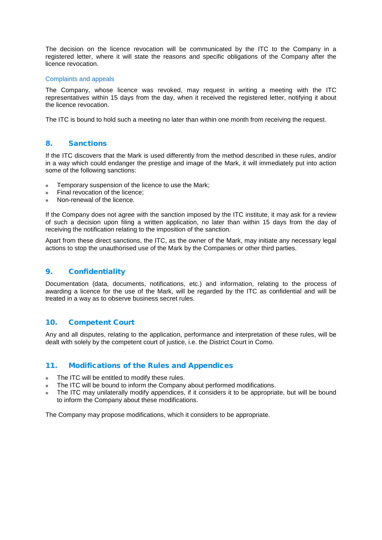The decision on the licence revocation will be communicated by the ITC to the Company in a registered letter, where it will state the reasons and specific obligations of the Company after the licence revocation.

#### Complaints and appeals

The Company, whose licence was revoked, may request in writing a meeting with the ITC representatives within 15 days from the day, when it received the registered letter, notifying it about the licence revocation.

The ITC is bound to hold such a meeting no later than within one month from receiving the request.

## 8. Sanctions

If the ITC discovers that the Mark is used differently from the method described in these rules, and/or in a way which could endanger the prestige and image of the Mark, it will immediately put into action some of the following sanctions:

- **Temporary suspension of the licence to use the Mark;**
- Final revocation of the licence;
- Non-renewal of the licence.

If the Company does not agree with the sanction imposed by the ITC institute, it may ask for a review of such a decision upon filing a written application, no later than within 15 days from the day of receiving the notification relating to the imposition of the sanction.

Apart from these direct sanctions, the ITC, as the owner of the Mark, may initiate any necessary legal actions to stop the unauthorised use of the Mark by the Companies or other third parties.

## 9. Confidentiality

Documentation (data, documents, notifications, etc.) and information, relating to the process of awarding a licence for the use of the Mark, will be regarded by the ITC as confidential and will be treated in a way as to observe business secret rules.

#### 10. Competent Court

Any and all disputes, relating to the application, performance and interpretation of these rules, will be dealt with solely by the competent court of justice, i.e. the District Court in Como.

#### 11. Modifications of the Rules and Appendices

- The ITC will be entitled to modify these rules.
- The ITC will be bound to inform the Company about performed modifications.
- The ITC may unilaterally modify appendices, if it considers it to be appropriate, but will be bound to inform the Company about these modifications.

The Company may propose modifications, which it considers to be appropriate.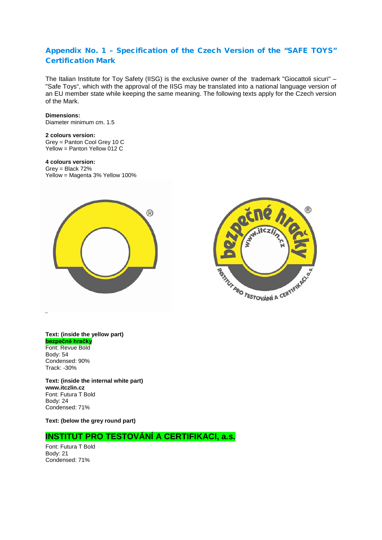## Appendix No. 1 – Specification of the Czech Version of the "SAFE TOYS" Certification Mark

The Italian Institute for Toy Safety (IISG) is the exclusive owner of the trademark "Giocattoli sicuri" – "Safe Toys", which with the approval of the IISG may be translated into a national language version of an EU member state while keeping the same meaning. The following texts apply for the Czech version of the Mark.

#### **Dimensions:**

Diameter minimum cm. 1.5

#### **2 colours version:**

Grey = Panton Cool Grey 10 C Yellow = Panton Yellow 012 C

#### **4 colours version:**

Grey = Black 72% Yellow = Magenta 3% Yellow 100%





#### **Text: (inside the yellow part) bezpečné hračky**

Font: Revue Bold Body: 54 Condensed: 90% Track: -30%

**¨**

**Text: (inside the internal white part) www.itczlin.cz** Font: Futura T Bold Body: 24 Condensed: 71%

**Text: (below the grey round part)** 

## **INSTITUT PRO TESTOVÁNÍ A CERTIFIKACI, a.s.**

Font: Futura T Bold Body: 21 Condensed: 71%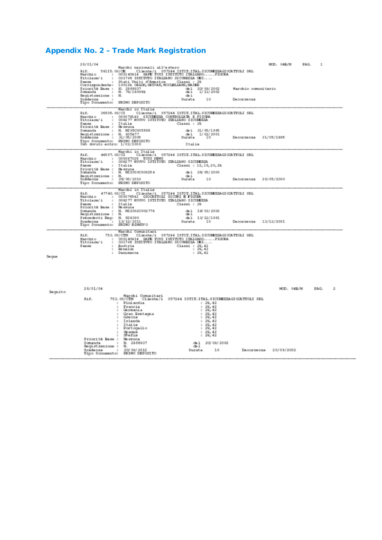## Appendix No. 2 – Trade Mark Registration

|         | 24/01/04                                                                                                                                                                                                                                                                                                                                                                                                                                                                                                                                                                                                                                               | MOD. 04B/M            | PAG.            | 1 |   |
|---------|--------------------------------------------------------------------------------------------------------------------------------------------------------------------------------------------------------------------------------------------------------------------------------------------------------------------------------------------------------------------------------------------------------------------------------------------------------------------------------------------------------------------------------------------------------------------------------------------------------------------------------------------------------|-----------------------|-----------------|---|---|
|         | Marchi nazionali all'estero<br>Rif. 59115.00/CE (Cliente/1 057244 ISTIT.ITAL.SICUREEEAGICOATIOLI SRL Narchio : FIGURA (SRL ITAL.SICUREEEA)<br>Narchio : 000140914 SAFE TOUS ISTITUTO ITALIANO SICUREEEA DEI<br>Paese : Stati Uniti d'America - Classi : 29<br>Corrispondente: 190129 GRION, SPIVAN, MOCLELIAND, MAIER<br>Classi : 29<br>Priorità Base : N. 2966937<br>Domanda : N. 79/190999<br>$\begin{array}{cccc} \text{d}a & 1 & 20 & 09 & 20 & 02 \\ \text{d}b & 1 & 1 & 11 & 20 & 02 \end{array}$<br>Marchio comunitario<br>Registrazione : N.<br>det 1<br>Scadenza<br>Durata<br>10 <sub>1</sub><br>Бесограния<br>Tipo Documento: PRIMO DEPOSITO |                       |                 |   |   |
|         | Marchi in Italia<br>次士式。<br>36605, 00/CI<br>Cliente/i 057244 ISTIT.ITAL.SICUREEEAGIOCATTOLI SRL<br>: 000079149 SICUREEZA CONTROLIATA E FIGURA<br>Marchio<br>: 009277 SUOVO ISTITUTO ITALIASO SICUREEEA<br>Titolara/i<br>Classi : 29<br>Paese : Italis<br>Priorità Base : Nessuna<br>Domanda : N. MI95C005566<br>de 1 31/05/1995<br>Registracione : N. 035077<br>Soldenza : 31/05/2005<br>Tipo Documento: RRINO DEPOSITO<br>$\frac{1}{2001}$ 1/02/2001<br>10 <sub>1</sub><br>Durata<br>Usb doruto entro: 1/02/2006<br>Italia                                                                                                                            | Decorpenza 31/05/1995 |                 |   |   |
|         | Marchi in Italia<br>愛出館。<br>Marchio<br>: 000097026 TOYS NEWS<br>: 009277 SUOVO ISTITUTO ITALIASO SICUREEEA<br>Titolarm/i<br>: Italia<br>Равова-<br>Classi : 12, 16, 20, 20<br>Priorità Rase : Nessuna<br>Domanda : N. MI2000C006254<br>da 1 26/05/2000<br>Registrazione : N.<br>Soldenza : 26/05/2010<br>481<br>Durata<br>10<br>Tipo Documento: PRIMO DEPOSITO                                                                                                                                                                                                                                                                                         | Decorpenza 26/05/2000 |                 |   |   |
|         | Marchi in Italia<br>$47740,00/\mathrm{CI}$ Cliente/1 057244 ISTIT.ITAL.SICUREEEAGIOR/TULI SRL (000076543 GIOCATTOLI SICURI E FIGURA<br>受け続い<br>Marchio<br>: 009277 SUCVO ISTITUTO ITALIASO SICURREEA<br>Titolara/i<br>Paese : Italis<br>Priorità Rase : Nessuna<br>Classi : 29<br>Donanda.<br>: N. ME2002C002779<br>de 1 19/03/2002<br>Registrazione : N.<br>$d=1$<br>Precedenti Pag: 31. 629390<br>Scadenza : 13/12/2011<br>Tipo Bocumento: FRINO RISHOVO<br>ds 1 13/12/1991<br>Durata 10                                                                                                                                                             | Decorpenza 13/12/2001 |                 |   |   |
| Section | Marchi Comunitari<br>753.00/CIM Cliente/i 057244 ISTIT.ITAL.SICUREEKAGIORTTOLI SRL<br>受け続い<br>: 000140914 SAFE TOYS ISTITUTO ITALIANOFIGURA<br>: 031796 ISTITUTO ITALIANO SICUREERA DEI<br>Marchio<br>Titolara/i<br>Равов<br>: Austria<br>Classi : 29, 42<br>$: 29, 42$<br>Sa na lug.<br>$\sim$<br>: Danimarca<br>: 29, 42                                                                                                                                                                                                                                                                                                                             |                       |                 |   |   |
| Seguito | 24/01/04<br>Marchi Comunitari<br>Rif.<br>753.00/CTM Cliente/i 057244 ISTIT.ITAL.SICURREEAGIORTTOLI SRL<br>: Finlandia<br>: 29, 42<br>Francia<br>$: 29, 42$<br>$: 29, 42$<br>: Germania<br>: Gran Bretagna<br>: 29, 42<br>: 29, 42<br>: Gracia<br>: Irlanda<br>: 29, 42                                                                                                                                                                                                                                                                                                                                                                                 |                       | MOD. 04B/M PAG. |   | 2 |
|         | : Italia<br>: Portogallo<br>: 29, 42<br>: 29, 42<br>$\frac{29}{29}$ , 42<br>: Spagna<br>: Shefis<br>Priorità Base : Nessuna<br>Domanda.<br>: 31. 2946937<br>de 1 20/09/2002<br>Registrazione : N.<br>$d=1$<br>Scádenza : 20/09/2012<br>Tipo Documento: PRINO DEPOSITO<br>10<br>Durata                                                                                                                                                                                                                                                                                                                                                                  | Decorrenza 20/09/2002 |                 |   |   |